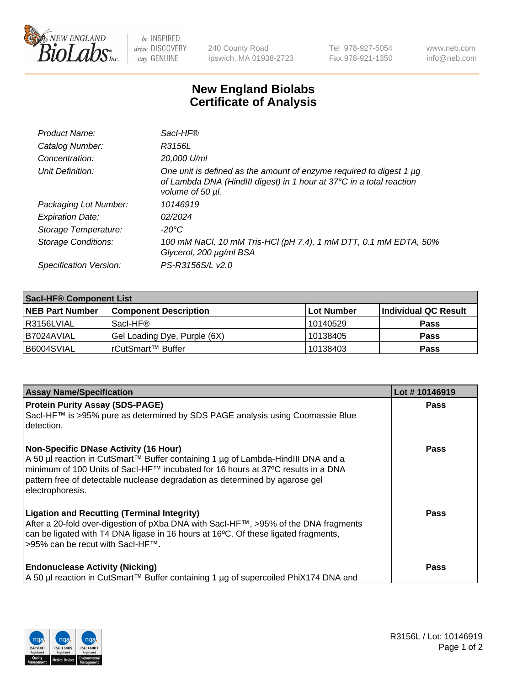

 $be$  INSPIRED drive DISCOVERY stay GENUINE

240 County Road Ipswich, MA 01938-2723 Tel 978-927-5054 Fax 978-921-1350 www.neb.com info@neb.com

## **New England Biolabs Certificate of Analysis**

| Product Name:              | Sacl-HF®                                                                                                                                                        |
|----------------------------|-----------------------------------------------------------------------------------------------------------------------------------------------------------------|
| Catalog Number:            | R3156L                                                                                                                                                          |
| Concentration:             | 20,000 U/ml                                                                                                                                                     |
| Unit Definition:           | One unit is defined as the amount of enzyme required to digest 1 µg<br>of Lambda DNA (HindIII digest) in 1 hour at 37°C in a total reaction<br>volume of 50 µl. |
| Packaging Lot Number:      | 10146919                                                                                                                                                        |
| <b>Expiration Date:</b>    | 02/2024                                                                                                                                                         |
| Storage Temperature:       | -20°C                                                                                                                                                           |
| <b>Storage Conditions:</b> | 100 mM NaCl, 10 mM Tris-HCl (pH 7.4), 1 mM DTT, 0.1 mM EDTA, 50%<br>Glycerol, 200 µg/ml BSA                                                                     |
| Specification Version:     | PS-R3156S/L v2.0                                                                                                                                                |

| <b>Saci-HF® Component List</b> |                              |             |                      |  |  |
|--------------------------------|------------------------------|-------------|----------------------|--|--|
| <b>NEB Part Number</b>         | <b>Component Description</b> | ∣Lot Number | Individual QC Result |  |  |
| l R3156LVIAL                   | Sacl-HF®                     | 10140529    | <b>Pass</b>          |  |  |
| I B7024AVIAL                   | Gel Loading Dye, Purple (6X) | 10138405    | <b>Pass</b>          |  |  |
| B6004SVIAL                     | rCutSmart™ Buffer            | 10138403    | <b>Pass</b>          |  |  |

| <b>Assay Name/Specification</b>                                                                                                                                                                                                                                                                                          | Lot #10146919 |
|--------------------------------------------------------------------------------------------------------------------------------------------------------------------------------------------------------------------------------------------------------------------------------------------------------------------------|---------------|
| <b>Protein Purity Assay (SDS-PAGE)</b><br>Sacl-HF™ is >95% pure as determined by SDS PAGE analysis using Coomassie Blue<br>detection.                                                                                                                                                                                    | <b>Pass</b>   |
| <b>Non-Specific DNase Activity (16 Hour)</b><br>A 50 µl reaction in CutSmart™ Buffer containing 1 µg of Lambda-HindIII DNA and a<br>minimum of 100 Units of Sacl-HF™ incubated for 16 hours at 37°C results in a DNA<br>pattern free of detectable nuclease degradation as determined by agarose gel<br>electrophoresis. | Pass          |
| <b>Ligation and Recutting (Terminal Integrity)</b><br>After a 20-fold over-digestion of pXba DNA with SacI-HF™, >95% of the DNA fragments<br>can be ligated with T4 DNA ligase in 16 hours at 16 <sup>o</sup> C. Of these ligated fragments,<br>>95% can be recut with SacI-HF™.                                         | Pass          |
| <b>Endonuclease Activity (Nicking)</b><br>  A 50 µl reaction in CutSmart™ Buffer containing 1 µg of supercoiled PhiX174 DNA and                                                                                                                                                                                          | Pass          |